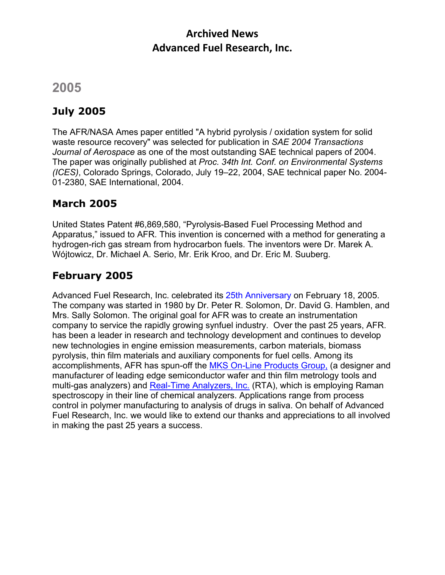### **Archived News Advanced Fuel Research, Inc.**

# **2005**

## **July 2005**

The AFR/NASA Ames paper entitled "A hybrid pyrolysis / oxidation system for solid waste resource recovery" was selected for publication in *SAE 2004 Transactions Journal of Aerospace* as one of the most outstanding SAE technical papers of 2004. The paper was originally published at *Proc. 34th Int. Conf. on Environmental Systems (ICES)*, Colorado Springs, Colorado, July 19–22, 2004, SAE technical paper No. 2004- 01-2380, SAE International, 2004.

### **March 2005**

United States Patent #6,869,580, "Pyrolysis-Based Fuel Processing Method and Apparatus," issued to AFR. This invention is concerned with a method for generating a hydrogen-rich gas stream from hydrocarbon fuels. The inventors were Dr. Marek A. Wójtowicz, Dr. Michael A. Serio, Mr. Erik Kroo, and Dr. Eric M. Suuberg.

### **February 2005**

Advanced Fuel Research, Inc. celebrated its 25th Anniversary on February 18, 2005. The company was started in 1980 by Dr. Peter R. Solomon, Dr. David G. Hamblen, and Mrs. Sally Solomon. The original goal for AFR was to create an instrumentation company to service the rapidly growing synfuel industry. Over the past 25 years, AFR. has been a leader in research and technology development and continues to develop new technologies in engine emission measurements, carbon materials, biomass pyrolysis, thin film materials and auxiliary components for fuel cells. Among its accomplishments, AFR has spun-off the MKS On-Line Products Group, (a designer and manufacturer of leading edge semiconductor wafer and thin film metrology tools and multi-gas analyzers) and Real-Time Analyzers, Inc. (RTA), which is employing Raman spectroscopy in their line of chemical analyzers. Applications range from process control in polymer manufacturing to analysis of drugs in saliva. On behalf of Advanced Fuel Research, Inc. we would like to extend our thanks and appreciations to all involved in making the past 25 years a success.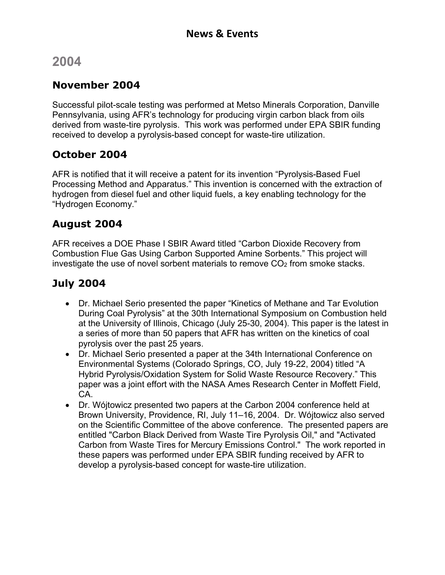# **2004**

#### **November 2004**

Successful pilot-scale testing was performed at Metso Minerals Corporation, Danville Pennsylvania, using AFR's technology for producing virgin carbon black from oils derived from waste-tire pyrolysis. This work was performed under EPA SBIR funding received to develop a pyrolysis-based concept for waste-tire utilization.

### **October 2004**

AFR is notified that it will receive a patent for its invention "Pyrolysis-Based Fuel Processing Method and Apparatus." This invention is concerned with the extraction of hydrogen from diesel fuel and other liquid fuels, a key enabling technology for the "Hydrogen Economy."

### **August 2004**

AFR receives a DOE Phase I SBIR Award titled "Carbon Dioxide Recovery from Combustion Flue Gas Using Carbon Supported Amine Sorbents." This project will investigate the use of novel sorbent materials to remove CO<sub>2</sub> from smoke stacks.

## **July 2004**

- Dr. Michael Serio presented the paper "Kinetics of Methane and Tar Evolution During Coal Pyrolysis" at the 30th International Symposium on Combustion held at the University of Illinois, Chicago (July 25-30, 2004). This paper is the latest in a series of more than 50 papers that AFR has written on the kinetics of coal pyrolysis over the past 25 years.
- Dr. Michael Serio presented a paper at the 34th International Conference on Environmental Systems (Colorado Springs, CO, July 19-22, 2004) titled "A Hybrid Pyrolysis/Oxidation System for Solid Waste Resource Recovery." This paper was a joint effort with the NASA Ames Research Center in Moffett Field, CA.
- Dr. Wójtowicz presented two papers at the Carbon 2004 conference held at Brown University, Providence, RI, July 11–16, 2004. Dr. Wójtowicz also served on the Scientific Committee of the above conference. The presented papers are entitled "Carbon Black Derived from Waste Tire Pyrolysis Oil," and "Activated Carbon from Waste Tires for Mercury Emissions Control." The work reported in these papers was performed under EPA SBIR funding received by AFR to develop a pyrolysis-based concept for waste-tire utilization.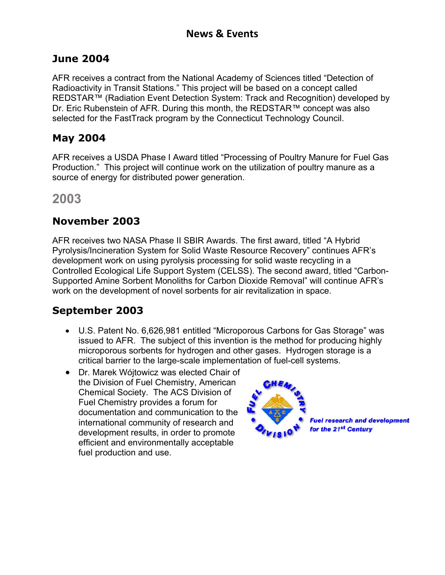#### **June 2004**

AFR receives a contract from the National Academy of Sciences titled "Detection of Radioactivity in Transit Stations." This project will be based on a concept called REDSTAR™ (Radiation Event Detection System: Track and Recognition) developed by Dr. Eric Rubenstein of AFR. During this month, the REDSTAR™ concept was also selected for the FastTrack program by the Connecticut Technology Council.

#### **May 2004**

AFR receives a USDA Phase I Award titled "Processing of Poultry Manure for Fuel Gas Production." This project will continue work on the utilization of poultry manure as a source of energy for distributed power generation.

**2003**

#### **November 2003**

AFR receives two NASA Phase II SBIR Awards. The first award, titled "A Hybrid Pyrolysis/Incineration System for Solid Waste Resource Recovery" continues AFR's development work on using pyrolysis processing for solid waste recycling in a Controlled Ecological Life Support System (CELSS). The second award, titled "Carbon-Supported Amine Sorbent Monoliths for Carbon Dioxide Removal" will continue AFR's work on the development of novel sorbents for air revitalization in space.

### **September 2003**

- U.S. Patent No. 6,626,981 entitled "Microporous Carbons for Gas Storage" was issued to AFR. The subject of this invention is the method for producing highly microporous sorbents for hydrogen and other gases. Hydrogen storage is a critical barrier to the large-scale implementation of fuel-cell systems.
- Dr. Marek Wójtowicz was elected Chair of the Division of Fuel Chemistry, American Chemical Society. The ACS Division of Fuel Chemistry provides a forum for documentation and communication to the international community of research and development results, in order to promote efficient and environmentally acceptable fuel production and use.

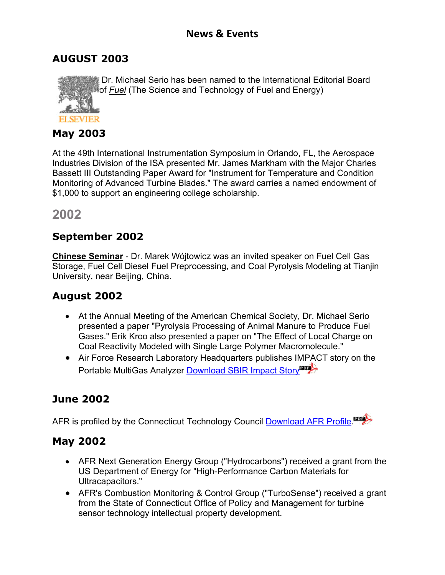Dr. Michael Serio has been named to the International Editorial Board

### **AUGUST 2003**

of *Fuel* (The Science and Technology of Fuel and Energy)

#### **May 2003**

At the 49th International Instrumentation Symposium in Orlando, FL, the Aerospace Industries Division of the ISA presented Mr. James Markham with the Major Charles Bassett III Outstanding Paper Award for "Instrument for Temperature and Condition Monitoring of Advanced Turbine Blades." The award carries a named endowment of \$1,000 to support an engineering college scholarship.

**2002**

### **September 2002**

**Chinese Seminar** - Dr. Marek Wójtowicz was an invited speaker on Fuel Cell Gas Storage, Fuel Cell Diesel Fuel Preprocessing, and Coal Pyrolysis Modeling at Tianjin University, near Beijing, China.

## **August 2002**

- At the Annual Meeting of the American Chemical Society, Dr. Michael Serio presented a paper "Pyrolysis Processing of Animal Manure to Produce Fuel Gases." Erik Kroo also presented a paper on "The Effect of Local Charge on Coal Reactivity Modeled with Single Large Polymer Macromolecule."
- Air Force Research Laboratory Headquarters publishes IMPACT story on the Portable MultiGas Analyzer Download SBIR Impact Story

# **June 2002**

AFR is profiled by the Connecticut Technology Council Download AFR Profile.

### **May 2002**

- AFR Next Generation Energy Group ("Hydrocarbons") received a grant from the US Department of Energy for "High-Performance Carbon Materials for Ultracapacitors."
- AFR's Combustion Monitoring & Control Group ("TurboSense") received a grant from the State of Connecticut Office of Policy and Management for turbine sensor technology intellectual property development.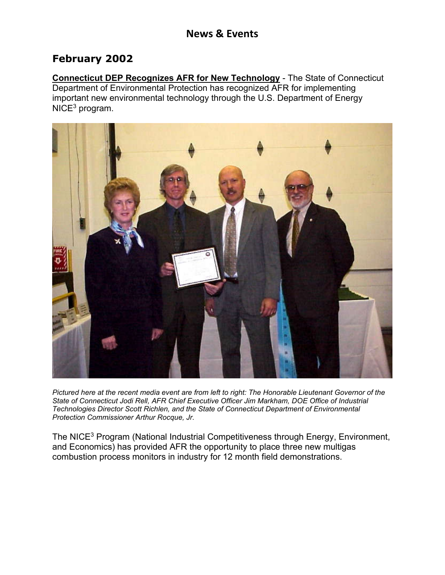#### **February 2002**

**Connecticut DEP Recognizes AFR for New Technology** - The State of Connecticut Department of Environmental Protection has recognized AFR for implementing important new environmental technology through the U.S. Department of Energy NICE<sup>3</sup> program.



*Pictured here at the recent media event are from left to right: The Honorable Lieutenant Governor of the State of Connecticut Jodi Rell, AFR Chief Executive Officer Jim Markham, DOE Office of Industrial Technologies Director Scott Richlen, and the State of Connecticut Department of Environmental Protection Commissioner Arthur Rocque, Jr.*

The NICE<sup>3</sup> Program (National Industrial Competitiveness through Energy, Environment, and Economics) has provided AFR the opportunity to place three new multigas combustion process monitors in industry for 12 month field demonstrations.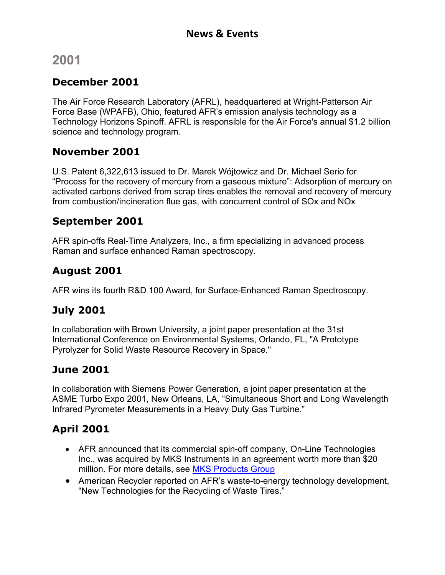# **2001**

### **December 2001**

The Air Force Research Laboratory (AFRL), headquartered at Wright-Patterson Air Force Base (WPAFB), Ohio, featured AFR's emission analysis technology as a Technology Horizons Spinoff. AFRL is responsible for the Air Force's annual \$1.2 billion science and technology program.

#### **November 2001**

U.S. Patent 6,322,613 issued to Dr. Marek Wójtowicz and Dr. Michael Serio for "Process for the recovery of mercury from a gaseous mixture": Adsorption of mercury on activated carbons derived from scrap tires enables the removal and recovery of mercury from combustion/incineration flue gas, with concurrent control of SOx and NOx

#### **September 2001**

AFR spin-offs Real-Time Analyzers, Inc., a firm specializing in advanced process Raman and surface enhanced Raman spectroscopy.

### **August 2001**

AFR wins its fourth R&D 100 Award, for Surface-Enhanced Raman Spectroscopy.

### **July 2001**

In collaboration with Brown University, a joint paper presentation at the 31st International Conference on Environmental Systems, Orlando, FL, "A Prototype Pyrolyzer for Solid Waste Resource Recovery in Space."

### **June 2001**

In collaboration with Siemens Power Generation, a joint paper presentation at the ASME Turbo Expo 2001, New Orleans, LA, "Simultaneous Short and Long Wavelength Infrared Pyrometer Measurements in a Heavy Duty Gas Turbine."

## **April 2001**

- AFR announced that its commercial spin-off company, On-Line Technologies Inc., was acquired by MKS Instruments in an agreement worth more than \$20 million. For more details, see MKS Products Group
- American Recycler reported on AFR's waste-to-energy technology development, "New Technologies for the Recycling of Waste Tires."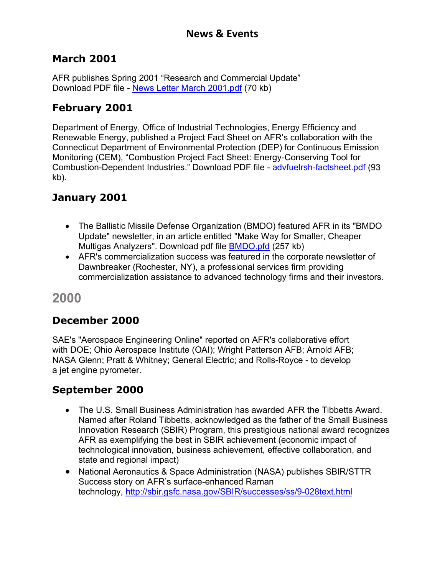#### **March 2001**

AFR publishes Spring 2001 "Research and Commercial Update" Download PDF file - News Letter March 2001.pdf (70 kb)

### **February 2001**

Department of Energy, Office of Industrial Technologies, Energy Efficiency and Renewable Energy, published a Project Fact Sheet on AFR's collaboration with the Connecticut Department of Environmental Protection (DEP) for Continuous Emission Monitoring (CEM), "Combustion Project Fact Sheet: Energy-Conserving Tool for Combustion-Dependent Industries." Download PDF file - advfuelrsh-factsheet.pdf (93 kb).

### **January 2001**

- The Ballistic Missile Defense Organization (BMDO) featured AFR in its "BMDO Update" newsletter, in an article entitled "Make Way for Smaller, Cheaper Multigas Analyzers". Download pdf file BMDO.pfd (257 kb)
- AFR's commercialization success was featured in the corporate newsletter of Dawnbreaker (Rochester, NY), a professional services firm providing commercialization assistance to advanced technology firms and their investors.

**2000**

## **December 2000**

SAE's "Aerospace Engineering Online" reported on AFR's collaborative effort with DOE; Ohio Aerospace Institute (OAI); Wright Patterson AFB; Arnold AFB; NASA Glenn; Pratt & Whitney; General Electric; and Rolls-Royce - to develop a jet engine pyrometer.

### **September 2000**

- The U.S. Small Business Administration has awarded AFR the Tibbetts Award. Named after Roland Tibbetts, acknowledged as the father of the Small Business Innovation Research (SBIR) Program, this prestigious national award recognizes AFR as exemplifying the best in SBIR achievement (economic impact of technological innovation, business achievement, effective collaboration, and state and regional impact)
- National Aeronautics & Space Administration (NASA) publishes SBIR/STTR Success story on AFR's surface-enhanced Raman technology, http://sbir.gsfc.nasa.gov/SBIR/successes/ss/9-028text.html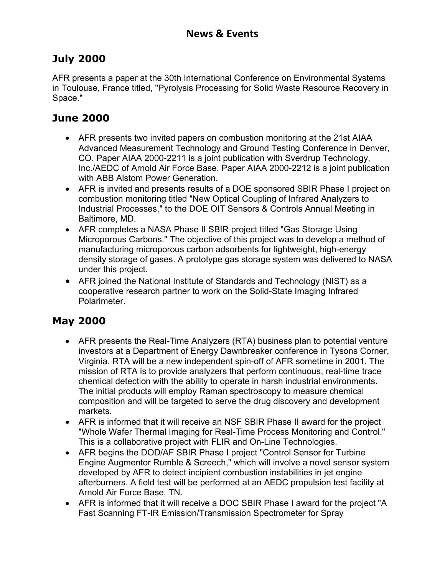### **July 2000**

AFR presents a paper at the 30th International Conference on Environmental Systems in Toulouse, France titled, "Pyrolysis Processing for Solid Waste Resource Recovery in Space."

## **June 2000**

- AFR presents two invited papers on combustion monitoring at the 21st AIAA Advanced Measurement Technology and Ground Testing Conference in Denver, CO. Paper AIAA 2000-2211 is a joint publication with Sverdrup Technology, Inc./AEDC of Arnold Air Force Base. Paper AIAA 2000-2212 is a joint publication with ABB Alstom Power Generation.
- AFR is invited and presents results of a DOE sponsored SBIR Phase I project on combustion monitoring titled "New Optical Coupling of Infrared Analyzers to Industrial Processes," to the DOE OIT Sensors & Controls Annual Meeting in Baltimore, MD.
- AFR completes a NASA Phase II SBIR project titled "Gas Storage Using Microporous Carbons." The objective of this project was to develop a method of manufacturing microporous carbon adsorbents for lightweight, high-energy density storage of gases. A prototype gas storage system was delivered to NASA under this project.
- AFR joined the National Institute of Standards and Technology (NIST) as a cooperative research partner to work on the Solid-State Imaging Infrared Polarimeter.

## **May 2000**

- AFR presents the Real-Time Analyzers (RTA) business plan to potential venture investors at a Department of Energy Dawnbreaker conference in Tysons Corner, Virginia. RTA will be a new independent spin-off of AFR sometime in 2001. The mission of RTA is to provide analyzers that perform continuous, real-time trace chemical detection with the ability to operate in harsh industrial environments. The initial products will employ Raman spectroscopy to measure chemical composition and will be targeted to serve the drug discovery and development markets.
- AFR is informed that it will receive an NSF SBIR Phase II award for the project "Whole Wafer Thermal Imaging for Real-Time Process Monitoring and Control." This is a collaborative project with FLIR and On-Line Technologies.
- AFR begins the DOD/AF SBIR Phase I project "Control Sensor for Turbine Engine Augmentor Rumble & Screech," which will involve a novel sensor system developed by AFR to detect incipient combustion instabilities in jet engine afterburners. A field test will be performed at an AEDC propulsion test facility at Arnold Air Force Base, TN.
- AFR is informed that it will receive a DOC SBIR Phase I award for the project "A Fast Scanning FT-IR Emission/Transmission Spectrometer for Spray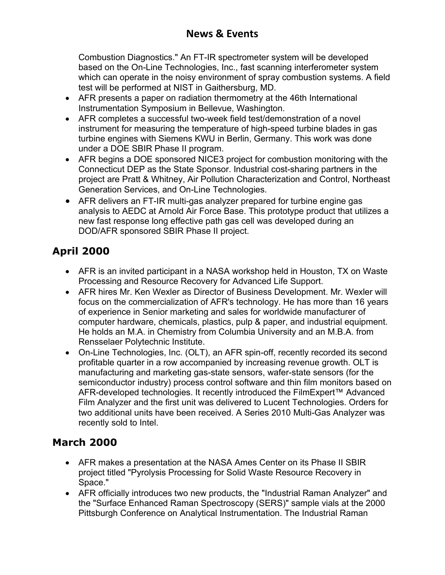Combustion Diagnostics." An FT-IR spectrometer system will be developed based on the On-Line Technologies, Inc., fast scanning interferometer system which can operate in the noisy environment of spray combustion systems. A field test will be performed at NIST in Gaithersburg, MD.

- AFR presents a paper on radiation thermometry at the 46th International Instrumentation Symposium in Bellevue, Washington.
- AFR completes a successful two-week field test/demonstration of a novel instrument for measuring the temperature of high-speed turbine blades in gas turbine engines with Siemens KWU in Berlin, Germany. This work was done under a DOE SBIR Phase II program.
- AFR begins a DOE sponsored NICE3 project for combustion monitoring with the Connecticut DEP as the State Sponsor. Industrial cost-sharing partners in the project are Pratt & Whitney, Air Pollution Characterization and Control, Northeast Generation Services, and On-Line Technologies.
- AFR delivers an FT-IR multi-gas analyzer prepared for turbine engine gas analysis to AEDC at Arnold Air Force Base. This prototype product that utilizes a new fast response long effective path gas cell was developed during an DOD/AFR sponsored SBIR Phase II project.

# **April 2000**

- AFR is an invited participant in a NASA workshop held in Houston, TX on Waste Processing and Resource Recovery for Advanced Life Support.
- AFR hires Mr. Ken Wexler as Director of Business Development. Mr. Wexler will focus on the commercialization of AFR's technology. He has more than 16 years of experience in Senior marketing and sales for worldwide manufacturer of computer hardware, chemicals, plastics, pulp & paper, and industrial equipment. He holds an M.A. in Chemistry from Columbia University and an M.B.A. from Rensselaer Polytechnic Institute.
- On-Line Technologies, Inc. (OLT), an AFR spin-off, recently recorded its second profitable quarter in a row accompanied by increasing revenue growth. OLT is manufacturing and marketing gas-state sensors, wafer-state sensors (for the semiconductor industry) process control software and thin film monitors based on AFR-developed technologies. It recently introduced the FilmExpert™ Advanced Film Analyzer and the first unit was delivered to Lucent Technologies. Orders for two additional units have been received. A Series 2010 Multi-Gas Analyzer was recently sold to Intel.

### **March 2000**

- AFR makes a presentation at the NASA Ames Center on its Phase II SBIR project titled "Pyrolysis Processing for Solid Waste Resource Recovery in Space."
- AFR officially introduces two new products, the "Industrial Raman Analyzer" and the "Surface Enhanced Raman Spectroscopy (SERS)" sample vials at the 2000 Pittsburgh Conference on Analytical Instrumentation. The Industrial Raman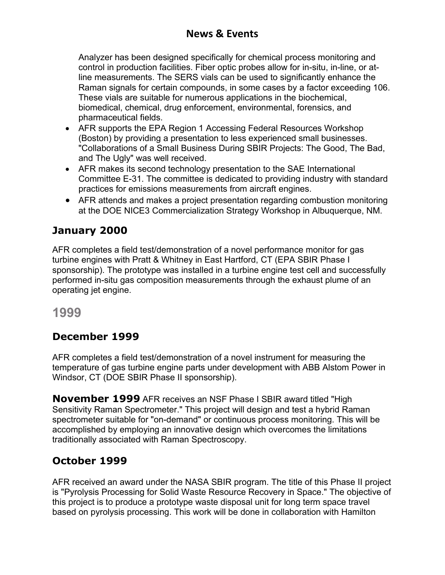### **News & Events**

Analyzer has been designed specifically for chemical process monitoring and control in production facilities. Fiber optic probes allow for in-situ, in-line, or atline measurements. The SERS vials can be used to significantly enhance the Raman signals for certain compounds, in some cases by a factor exceeding 106. These vials are suitable for numerous applications in the biochemical, biomedical, chemical, drug enforcement, environmental, forensics, and pharmaceutical fields.

- AFR supports the EPA Region 1 Accessing Federal Resources Workshop (Boston) by providing a presentation to less experienced small businesses. "Collaborations of a Small Business During SBIR Projects: The Good, The Bad, and The Ugly" was well received.
- AFR makes its second technology presentation to the SAE International Committee E-31. The committee is dedicated to providing industry with standard practices for emissions measurements from aircraft engines.
- AFR attends and makes a project presentation regarding combustion monitoring at the DOE NICE3 Commercialization Strategy Workshop in Albuquerque, NM.

### **January 2000**

AFR completes a field test/demonstration of a novel performance monitor for gas turbine engines with Pratt & Whitney in East Hartford, CT (EPA SBIR Phase I sponsorship). The prototype was installed in a turbine engine test cell and successfully performed in-situ gas composition measurements through the exhaust plume of an operating jet engine.

**1999**

### **December 1999**

AFR completes a field test/demonstration of a novel instrument for measuring the temperature of gas turbine engine parts under development with ABB Alstom Power in Windsor, CT (DOE SBIR Phase II sponsorship).

**November 1999** AFR receives an NSF Phase I SBIR award titled "High Sensitivity Raman Spectrometer." This project will design and test a hybrid Raman spectrometer suitable for "on-demand" or continuous process monitoring. This will be accomplished by employing an innovative design which overcomes the limitations traditionally associated with Raman Spectroscopy.

#### **October 1999**

AFR received an award under the NASA SBIR program. The title of this Phase II project is "Pyrolysis Processing for Solid Waste Resource Recovery in Space." The objective of this project is to produce a prototype waste disposal unit for long term space travel based on pyrolysis processing. This work will be done in collaboration with Hamilton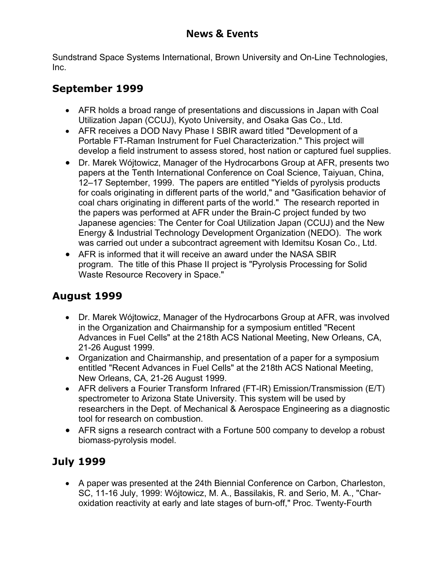Sundstrand Space Systems International, Brown University and On-Line Technologies, Inc.

## **September 1999**

- AFR holds a broad range of presentations and discussions in Japan with Coal Utilization Japan (CCUJ), Kyoto University, and Osaka Gas Co., Ltd.
- AFR receives a DOD Navy Phase I SBIR award titled "Development of a Portable FT-Raman Instrument for Fuel Characterization." This project will develop a field instrument to assess stored, host nation or captured fuel supplies.
- Dr. Marek Wójtowicz, Manager of the Hydrocarbons Group at AFR, presents two papers at the Tenth International Conference on Coal Science, Taiyuan, China, 12–17 September, 1999. The papers are entitled "Yields of pyrolysis products for coals originating in different parts of the world," and "Gasification behavior of coal chars originating in different parts of the world." The research reported in the papers was performed at AFR under the Brain-C project funded by two Japanese agencies: The Center for Coal Utilization Japan (CCUJ) and the New Energy & Industrial Technology Development Organization (NEDO). The work was carried out under a subcontract agreement with Idemitsu Kosan Co., Ltd.
- AFR is informed that it will receive an award under the NASA SBIR program. The title of this Phase II project is "Pyrolysis Processing for Solid Waste Resource Recovery in Space."

# **August 1999**

- Dr. Marek Wójtowicz, Manager of the Hydrocarbons Group at AFR, was involved in the Organization and Chairmanship for a symposium entitled "Recent Advances in Fuel Cells" at the 218th ACS National Meeting, New Orleans, CA, 21-26 August 1999.
- Organization and Chairmanship, and presentation of a paper for a symposium entitled "Recent Advances in Fuel Cells" at the 218th ACS National Meeting, New Orleans, CA, 21-26 August 1999.
- AFR delivers a Fourier Transform Infrared (FT-IR) Emission/Transmission (E/T) spectrometer to Arizona State University. This system will be used by researchers in the Dept. of Mechanical & Aerospace Engineering as a diagnostic tool for research on combustion.
- AFR signs a research contract with a Fortune 500 company to develop a robust biomass-pyrolysis model.

# **July 1999**

 A paper was presented at the 24th Biennial Conference on Carbon, Charleston, SC, 11-16 July, 1999: Wójtowicz, M. A., Bassilakis, R. and Serio, M. A., "Charoxidation reactivity at early and late stages of burn-off," Proc. Twenty-Fourth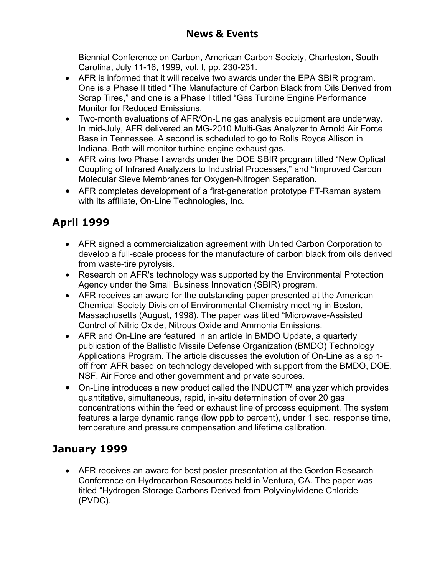Biennial Conference on Carbon, American Carbon Society, Charleston, South Carolina, July 11-16, 1999, vol. I, pp. 230-231.

- AFR is informed that it will receive two awards under the EPA SBIR program. One is a Phase II titled "The Manufacture of Carbon Black from Oils Derived from Scrap Tires," and one is a Phase I titled "Gas Turbine Engine Performance Monitor for Reduced Emissions.
- Two-month evaluations of AFR/On-Line gas analysis equipment are underway. In mid-July, AFR delivered an MG-2010 Multi-Gas Analyzer to Arnold Air Force Base in Tennessee. A second is scheduled to go to Rolls Royce Allison in Indiana. Both will monitor turbine engine exhaust gas.
- AFR wins two Phase I awards under the DOE SBIR program titled "New Optical Coupling of Infrared Analyzers to Industrial Processes," and "Improved Carbon Molecular Sieve Membranes for Oxygen-Nitrogen Separation.
- AFR completes development of a first-generation prototype FT-Raman system with its affiliate, On-Line Technologies, Inc.

# **April 1999**

- AFR signed a commercialization agreement with United Carbon Corporation to develop a full-scale process for the manufacture of carbon black from oils derived from waste-tire pyrolysis.
- Research on AFR's technology was supported by the Environmental Protection Agency under the Small Business Innovation (SBIR) program.
- AFR receives an award for the outstanding paper presented at the American Chemical Society Division of Environmental Chemistry meeting in Boston, Massachusetts (August, 1998). The paper was titled "Microwave-Assisted Control of Nitric Oxide, Nitrous Oxide and Ammonia Emissions.
- AFR and On-Line are featured in an article in BMDO Update, a quarterly publication of the Ballistic Missile Defense Organization (BMDO) Technology Applications Program. The article discusses the evolution of On-Line as a spinoff from AFR based on technology developed with support from the BMDO, DOE, NSF, Air Force and other government and private sources.
- On-Line introduces a new product called the INDUCT™ analyzer which provides quantitative, simultaneous, rapid, in-situ determination of over 20 gas concentrations within the feed or exhaust line of process equipment. The system features a large dynamic range (low ppb to percent), under 1 sec. response time, temperature and pressure compensation and lifetime calibration.

## **January 1999**

 AFR receives an award for best poster presentation at the Gordon Research Conference on Hydrocarbon Resources held in Ventura, CA. The paper was titled "Hydrogen Storage Carbons Derived from Polyvinylvidene Chloride (PVDC).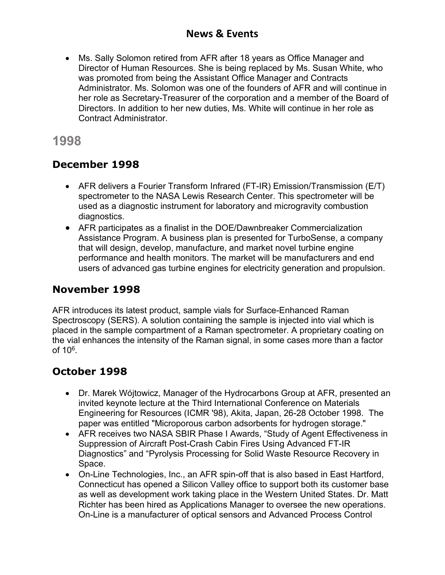#### **News & Events**

 Ms. Sally Solomon retired from AFR after 18 years as Office Manager and Director of Human Resources. She is being replaced by Ms. Susan White, who was promoted from being the Assistant Office Manager and Contracts Administrator. Ms. Solomon was one of the founders of AFR and will continue in her role as Secretary-Treasurer of the corporation and a member of the Board of Directors. In addition to her new duties, Ms. White will continue in her role as Contract Administrator.

### **1998**

#### **December 1998**

- AFR delivers a Fourier Transform Infrared (FT-IR) Emission/Transmission (E/T) spectrometer to the NASA Lewis Research Center. This spectrometer will be used as a diagnostic instrument for laboratory and microgravity combustion diagnostics.
- AFR participates as a finalist in the DOE/Dawnbreaker Commercialization Assistance Program. A business plan is presented for TurboSense, a company that will design, develop, manufacture, and market novel turbine engine performance and health monitors. The market will be manufacturers and end users of advanced gas turbine engines for electricity generation and propulsion.

#### **November 1998**

AFR introduces its latest product, sample vials for Surface-Enhanced Raman Spectroscopy (SERS). A solution containing the sample is injected into vial which is placed in the sample compartment of a Raman spectrometer. A proprietary coating on the vial enhances the intensity of the Raman signal, in some cases more than a factor of  $10<sup>6</sup>$ .

#### **October 1998**

- Dr. Marek Wójtowicz, Manager of the Hydrocarbons Group at AFR, presented an invited keynote lecture at the Third International Conference on Materials Engineering for Resources (ICMR '98), Akita, Japan, 26-28 October 1998. The paper was entitled "Microporous carbon adsorbents for hydrogen storage."
- AFR receives two NASA SBIR Phase I Awards, "Study of Agent Effectiveness in Suppression of Aircraft Post-Crash Cabin Fires Using Advanced FT-IR Diagnostics" and "Pyrolysis Processing for Solid Waste Resource Recovery in Space.
- On-Line Technologies, Inc., an AFR spin-off that is also based in East Hartford, Connecticut has opened a Silicon Valley office to support both its customer base as well as development work taking place in the Western United States. Dr. Matt Richter has been hired as Applications Manager to oversee the new operations. On-Line is a manufacturer of optical sensors and Advanced Process Control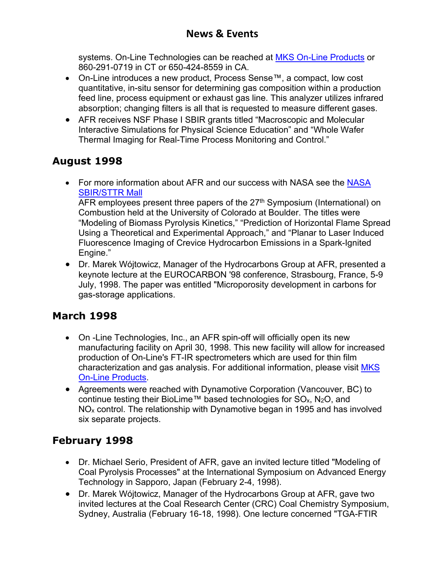systems. On-Line Technologies can be reached at MKS On-Line Products or 860-291-0719 in CT or 650-424-8559 in CA.

- On-Line introduces a new product, Process Sense™, a compact, low cost quantitative, in-situ sensor for determining gas composition within a production feed line, process equipment or exhaust gas line. This analyzer utilizes infrared absorption; changing filters is all that is requested to measure different gases.
- AFR receives NSF Phase I SBIR grants titled "Macroscopic and Molecular Interactive Simulations for Physical Science Education" and "Whole Wafer Thermal Imaging for Real-Time Process Monitoring and Control."

## **August 1998**

• For more information about AFR and our success with NASA see the NASA SBIR/STTR Mall

AFR employees present three papers of the  $27<sup>th</sup>$  Symposium (International) on Combustion held at the University of Colorado at Boulder. The titles were "Modeling of Biomass Pyrolysis Kinetics," "Prediction of Horizontal Flame Spread Using a Theoretical and Experimental Approach," and "Planar to Laser Induced Fluorescence Imaging of Crevice Hydrocarbon Emissions in a Spark-Ignited Engine."

 Dr. Marek Wójtowicz, Manager of the Hydrocarbons Group at AFR, presented a keynote lecture at the EUROCARBON '98 conference, Strasbourg, France, 5-9 July, 1998. The paper was entitled "Microporosity development in carbons for gas-storage applications.

## **March 1998**

- On -Line Technologies, Inc., an AFR spin-off will officially open its new manufacturing facility on April 30, 1998. This new facility will allow for increased production of On-Line's FT-IR spectrometers which are used for thin film characterization and gas analysis. For additional information, please visit MKS On-Line Products.
- Agreements were reached with Dynamotive Corporation (Vancouver, BC) to continue testing their BioLime™ based technologies for  $SO_{x}$ , N<sub>2</sub>O, and  $NO<sub>x</sub>$  control. The relationship with Dynamotive began in 1995 and has involved six separate projects.

## **February 1998**

- Dr. Michael Serio, President of AFR, gave an invited lecture titled "Modeling of Coal Pyrolysis Processes" at the International Symposium on Advanced Energy Technology in Sapporo, Japan (February 2-4, 1998).
- Dr. Marek Wójtowicz, Manager of the Hydrocarbons Group at AFR, gave two invited lectures at the Coal Research Center (CRC) Coal Chemistry Symposium, Sydney, Australia (February 16-18, 1998). One lecture concerned "TGA-FTIR